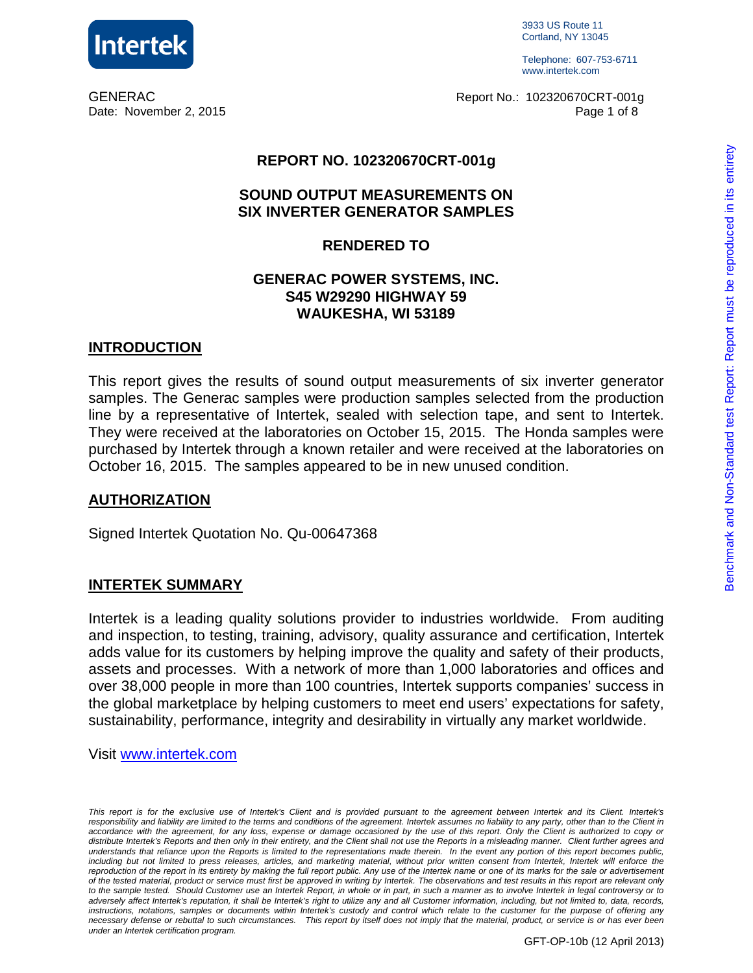

3933 US Route 11 Cortland, NY 13045

Telephone: 607-753-6711 www.intertek.com

GENERAC Report No.: 102320670CRT-001g Date: November 2, 2015 **Page 1 of 8** and 2015

#### **REPORT NO. 102320670CRT-001g**

#### **SOUND OUTPUT MEASUREMENTS ON SIX INVERTER GENERATOR SAMPLES**

#### **RENDERED TO**

#### **GENERAC POWER SYSTEMS, INC. S45 W29290 HIGHWAY 59 WAUKESHA, WI 53189**

#### **INTRODUCTION**

This report gives the results of sound output measurements of six inverter generator samples. The Generac samples were production samples selected from the production line by a representative of Intertek, sealed with selection tape, and sent to Intertek. They were received at the laboratories on October 15, 2015. The Honda samples were purchased by Intertek through a known retailer and were received at the laboratories on October 16, 2015. The samples appeared to be in new unused condition.

#### **AUTHORIZATION**

Signed Intertek Quotation No. Qu-00647368

#### **INTERTEK SUMMARY**

Intertek is a leading quality solutions provider to industries worldwide. From auditing and inspection, to testing, training, advisory, quality assurance and certification, Intertek adds value for its customers by helping improve the quality and safety of their products, assets and processes. With a network of more than 1,000 laboratories and offices and over 38,000 people in more than 100 countries, Intertek supports companies' success in the global marketplace by helping customers to meet end users' expectations for safety, sustainability, performance, integrity and desirability in virtually any market worldwide.

Visit www.intertek.com

This report is for the exclusive use of Intertek's Client and is provided pursuant to the agreement between Intertek and its Client. Intertek's responsibility and liability are limited to the terms and conditions of the agreement. Intertek assumes no liability to any party, other than to the Client in accordance with the agreement, for any loss, expense or damage occasioned by the use of this report. Only the Client is authorized to copy or distribute Intertek's Reports and then only in their entirety, and the Client shall not use the Reports in a misleading manner. Client further agrees and understands that reliance upon the Reports is limited to the representations made therein. In the event any portion of this report becomes public, including but not limited to press releases, articles, and marketing material, without prior written consent from Intertek, Intertek will enforce the reproduction of the report in its entirety by making the full report public. Any use of the Intertek name or one of its marks for the sale or advertisement of the tested material, product or service must first be approved in writing by Intertek. The observations and test results in this report are relevant only to the sample tested. Should Customer use an Intertek Report, in whole or in part, in such a manner as to involve Intertek in legal controversy or to adversely affect Intertek's reputation, it shall be Intertek's right to utilize any and all Customer information, including, but not limited to, data, records, instructions, notations, samples or documents within Intertek's custody and control which relate to the customer for the purpose of offering any necessary defense or rebuttal to such circumstances. This report by itself does not imply that the material, product, or service is or has ever been under an Intertek certification program.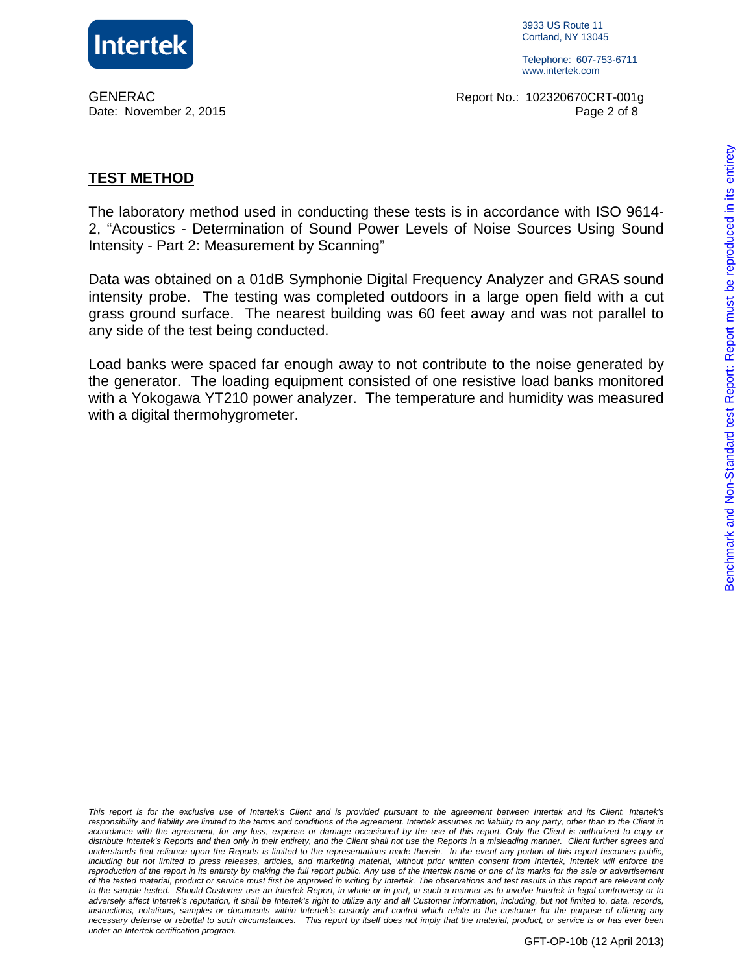

3933 US Route 11 Cortland, NY 13045

Telephone: 607-753-6711 www.intertek.com

GENERAC Report No.: 102320670CRT-001g Date: November 2, 2015 Page 2 of 8

#### **TEST METHOD**

The laboratory method used in conducting these tests is in accordance with ISO 9614- 2, "Acoustics - Determination of Sound Power Levels of Noise Sources Using Sound Intensity - Part 2: Measurement by Scanning"

Data was obtained on a 01dB Symphonie Digital Frequency Analyzer and GRAS sound intensity probe. The testing was completed outdoors in a large open field with a cut grass ground surface. The nearest building was 60 feet away and was not parallel to any side of the test being conducted.

Load banks were spaced far enough away to not contribute to the noise generated by the generator. The loading equipment consisted of one resistive load banks monitored with a Yokogawa YT210 power analyzer. The temperature and humidity was measured with a digital thermohygrometer.

This report is for the exclusive use of Intertek's Client and is provided pursuant to the agreement between Intertek and its Client. Intertek's responsibility and liability are limited to the terms and conditions of the agreement. Intertek assumes no liability to any party, other than to the Client in accordance with the agreement, for any loss, expense or damage occasioned by the use of this report. Only the Client is authorized to copy or distribute Intertek's Reports and then only in their entirety, and the Client shall not use the Reports in a misleading manner. Client further agrees and understands that reliance upon the Reports is limited to the representations made therein. In the event any portion of this report becomes public, including but not limited to press releases, articles, and marketing material, without prior written consent from Intertek, Intertek will enforce the reproduction of the report in its entirety by making the full report public. Any use of the Intertek name or one of its marks for the sale or advertisement of the tested material, product or service must first be approved in writing by Intertek. The observations and test results in this report are relevant only to the sample tested. Should Customer use an Intertek Report, in whole or in part, in such a manner as to involve Intertek in legal controversy or to adversely affect Intertek's reputation, it shall be Intertek's right to utilize any and all Customer information, including, but not limited to, data, records, instructions, notations, samples or documents within Intertek's custody and control which relate to the customer for the purpose of offering any necessary defense or rebuttal to such circumstances. This report by itself does not imply that the material, product, or service is or has ever been under an Intertek certification program.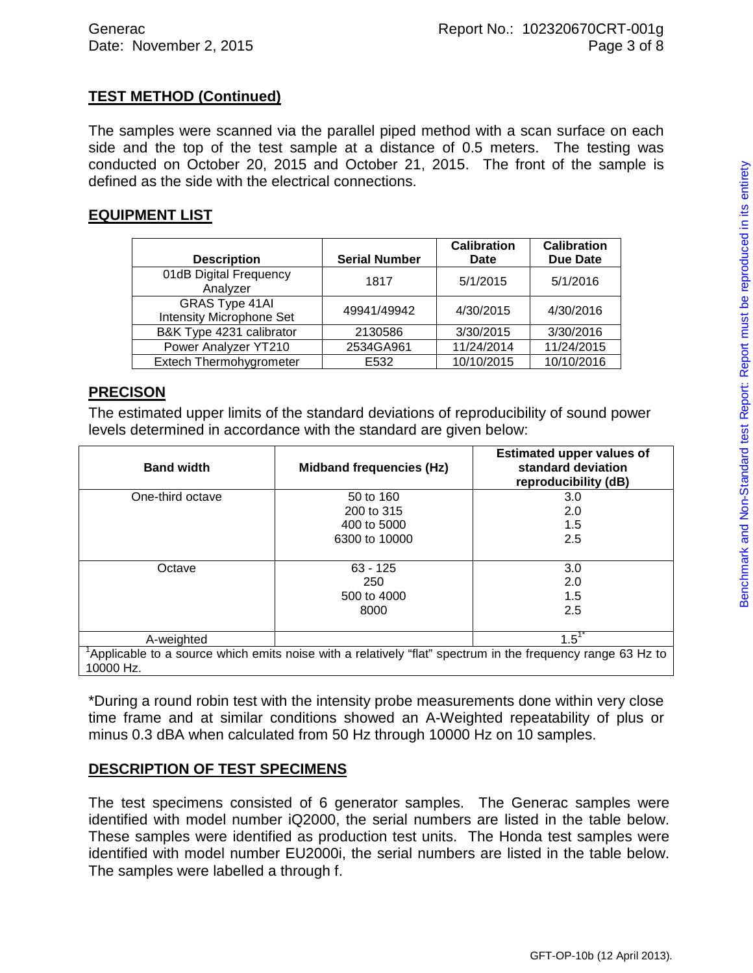## **TEST METHOD (Continued)**

The samples were scanned via the parallel piped method with a scan surface on each side and the top of the test sample at a distance of 0.5 meters. The testing was conducted on October 20, 2015 and October 21, 2015. The front of the sample is defined as the side with the electrical connections.

#### **EQUIPMENT LIST**

|                                                          |                      | <b>Calibration</b> | <b>Calibration</b> |
|----------------------------------------------------------|----------------------|--------------------|--------------------|
| <b>Description</b>                                       | <b>Serial Number</b> | Date               | <b>Due Date</b>    |
| 01dB Digital Frequency<br>Analyzer                       | 1817                 | 5/1/2015           | 5/1/2016           |
| <b>GRAS Type 41AI</b><br><b>Intensity Microphone Set</b> | 49941/49942          | 4/30/2015          | 4/30/2016          |
| B&K Type 4231 calibrator                                 | 2130586              | 3/30/2015          | 3/30/2016          |
| Power Analyzer YT210                                     | 2534GA961            | 11/24/2014         | 11/24/2015         |
| Extech Thermohygrometer                                  | E532                 | 10/10/2015         | 10/10/2016         |

#### **PRECISON**

The estimated upper limits of the standard deviations of reproducibility of sound power levels determined in accordance with the standard are given below:

| <b>Band width</b>                                                                                          | <b>Midband frequencies (Hz)</b> | <b>Estimated upper values of</b><br>standard deviation<br>reproducibility (dB) |  |  |
|------------------------------------------------------------------------------------------------------------|---------------------------------|--------------------------------------------------------------------------------|--|--|
| One-third octave                                                                                           | 50 to 160                       | 3.0                                                                            |  |  |
|                                                                                                            | 200 to 315                      | 2.0                                                                            |  |  |
|                                                                                                            | 400 to 5000                     | 1.5                                                                            |  |  |
|                                                                                                            | 6300 to 10000                   | 2.5                                                                            |  |  |
|                                                                                                            |                                 |                                                                                |  |  |
| Octave                                                                                                     | $63 - 125$                      | 3.0                                                                            |  |  |
|                                                                                                            | 250                             | 2.0                                                                            |  |  |
|                                                                                                            | 500 to 4000                     | 1.5                                                                            |  |  |
|                                                                                                            | 8000                            | 2.5                                                                            |  |  |
|                                                                                                            |                                 |                                                                                |  |  |
| A-weighted                                                                                                 |                                 | $1.5^{17}$                                                                     |  |  |
| Applicable to a source which emits noise with a relatively "flat" spectrum in the frequency range 63 Hz to |                                 |                                                                                |  |  |
| 10000 Hz.                                                                                                  |                                 |                                                                                |  |  |

\*During a round robin test with the intensity probe measurements done within very close time frame and at similar conditions showed an A-Weighted repeatability of plus or minus 0.3 dBA when calculated from 50 Hz through 10000 Hz on 10 samples.

### **DESCRIPTION OF TEST SPECIMENS**

The test specimens consisted of 6 generator samples. The Generac samples were identified with model number iQ2000, the serial numbers are listed in the table below. These samples were identified as production test units. The Honda test samples were identified with model number EU2000i, the serial numbers are listed in the table below. The samples were labelled a through f.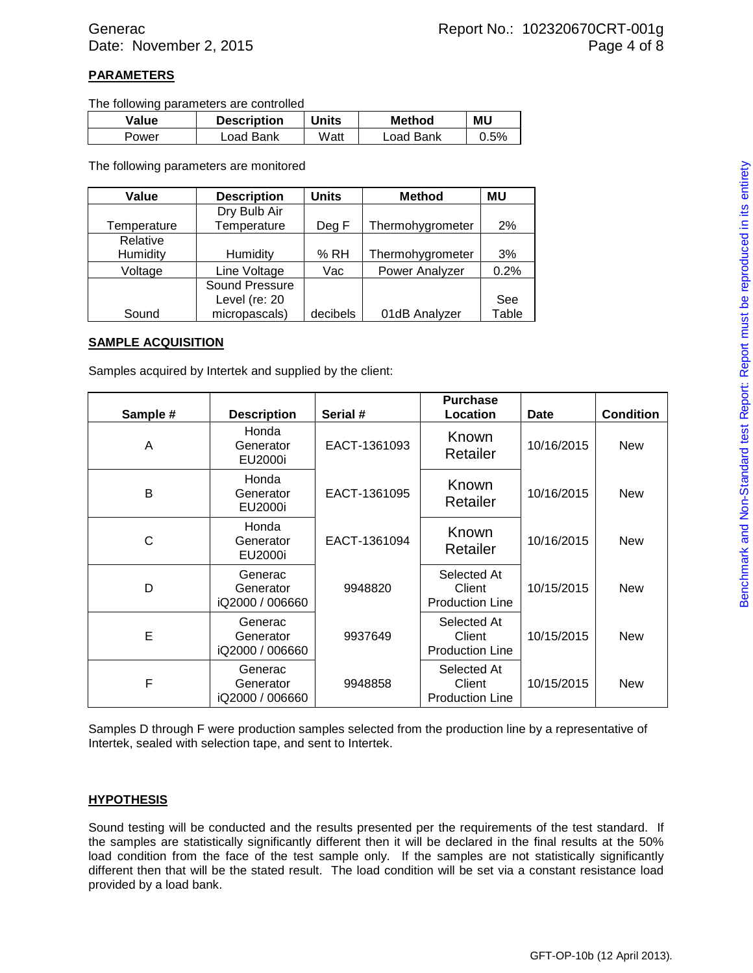#### **PARAMETERS**

The following parameters are controlled

| Value | <b>Description</b> | <b>Units</b> | <b>Method</b> | <b>MU</b> |
|-------|--------------------|--------------|---------------|-----------|
| Power | Load Bank          | Watt         | Load Bank     | 0.5%      |

The following parameters are monitored

| Value       | <b>Description</b> | <b>Units</b> | <b>Method</b>    | MU    |
|-------------|--------------------|--------------|------------------|-------|
|             | Dry Bulb Air       |              |                  |       |
| Temperature | Temperature        | Deg F        | Thermohygrometer | 2%    |
| Relative    |                    |              |                  |       |
| Humidity    | Humidity           | % RH         | Thermohygrometer | 3%    |
| Voltage     | Line Voltage       | Vac          | Power Analyzer   | 0.2%  |
|             | Sound Pressure     |              |                  |       |
|             | Level (re: 20      |              |                  | See   |
| Sound       | micropascals)      | decibels     | 01dB Analyzer    | Table |

#### **SAMPLE ACQUISITION**

Samples acquired by Intertek and supplied by the client:

| Sample # | <b>Description</b>                      | Serial #     | <b>Purchase</b><br>Location                     | Date       | <b>Condition</b> |
|----------|-----------------------------------------|--------------|-------------------------------------------------|------------|------------------|
| A        | Honda<br>Generator<br>EU2000i           | EACT-1361093 | Known<br>Retailer                               | 10/16/2015 | <b>New</b>       |
| B        | Honda<br>Generator<br>EU2000i           | EACT-1361095 | Known<br>Retailer                               | 10/16/2015 | <b>New</b>       |
| С        | Honda<br>Generator<br>EU2000i           | EACT-1361094 | Known<br>Retailer                               | 10/16/2015 | <b>New</b>       |
| D        | Generac<br>Generator<br>iQ2000 / 006660 | 9948820      | Selected At<br>Client<br><b>Production Line</b> | 10/15/2015 | <b>New</b>       |
| E        | Generac<br>Generator<br>iQ2000 / 006660 | 9937649      | Selected At<br>Client<br><b>Production Line</b> | 10/15/2015 | <b>New</b>       |
| F        | Generac<br>Generator<br>iQ2000 / 006660 | 9948858      | Selected At<br>Client<br><b>Production Line</b> | 10/15/2015 | <b>New</b>       |

Samples D through F were production samples selected from the production line by a representative of Intertek, sealed with selection tape, and sent to Intertek.

#### **HYPOTHESIS**

Sound testing will be conducted and the results presented per the requirements of the test standard. If the samples are statistically significantly different then it will be declared in the final results at the 50% load condition from the face of the test sample only. If the samples are not statistically significantly different then that will be the stated result. The load condition will be set via a constant resistance load provided by a load bank.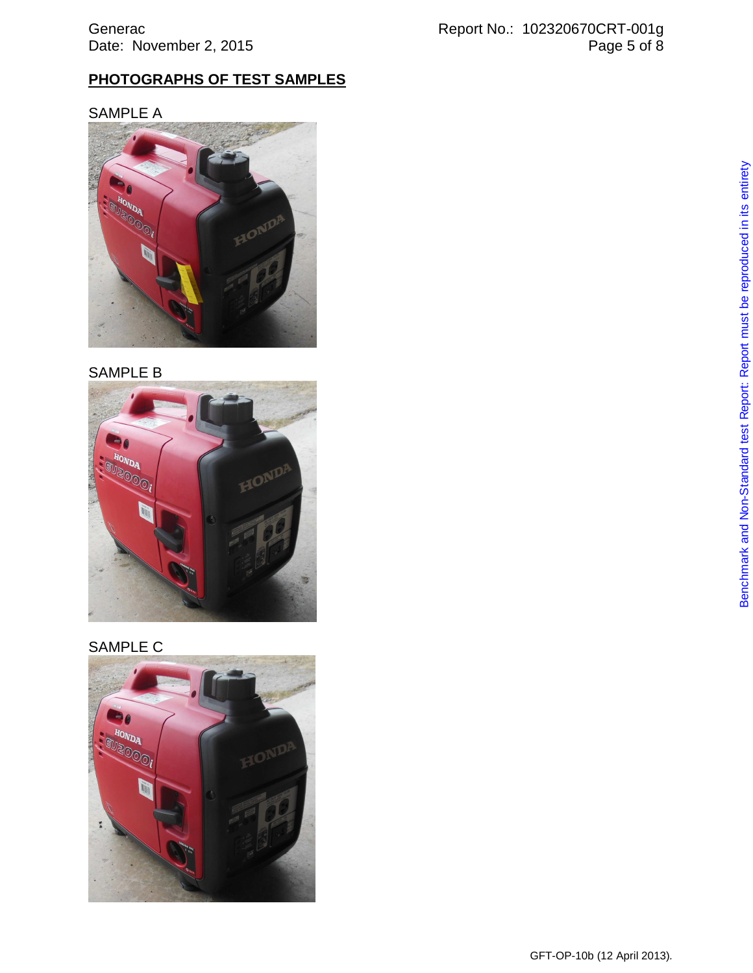## **PHOTOGRAPHS OF TEST SAMPLES**

## SAMPLE A



## SAMPLE B



# SAMPLE C

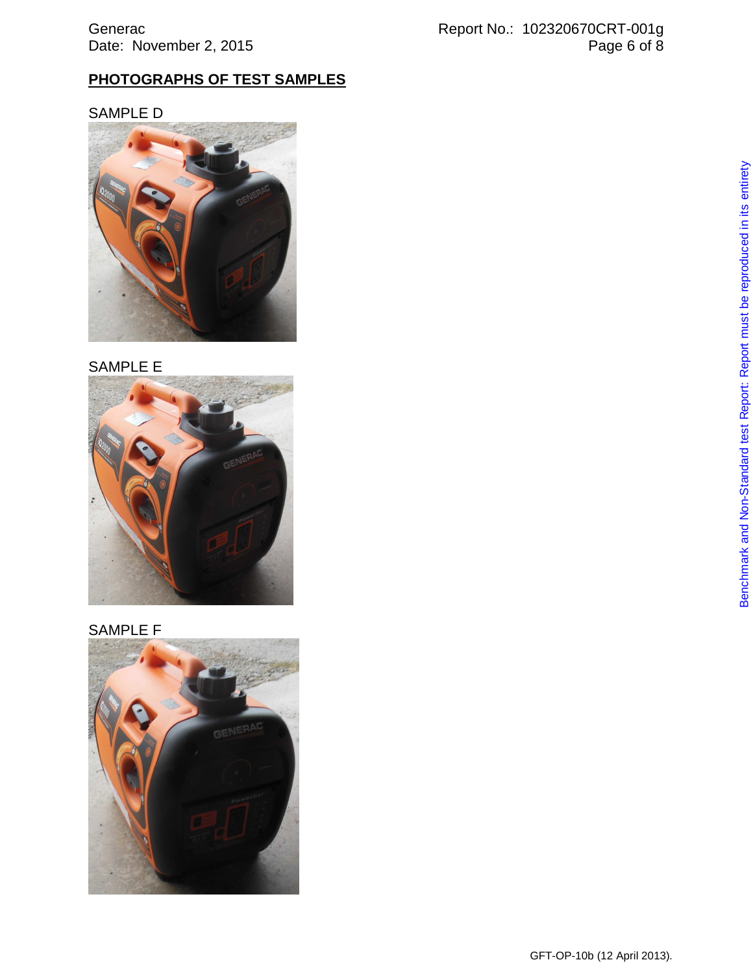## **PHOTOGRAPHS OF TEST SAMPLES**

## SAMPLE D



## SAMPLE E



## SAMPLE F

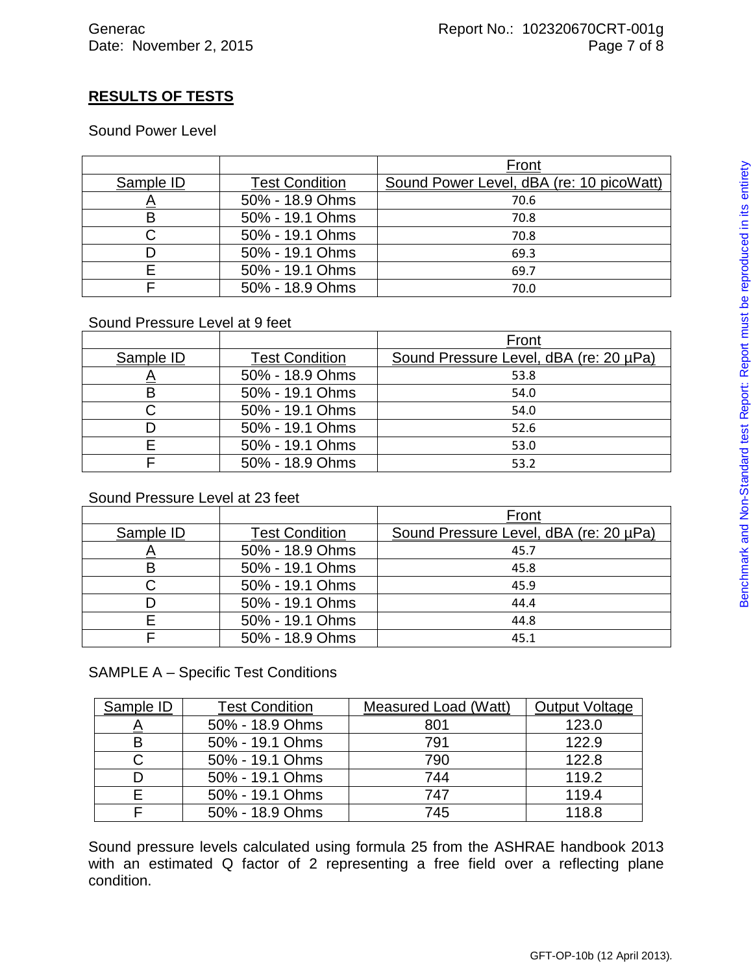# **RESULTS OF TESTS**

Sound Power Level

|           |                       | Front                                    |
|-----------|-----------------------|------------------------------------------|
| Sample ID | <b>Test Condition</b> | Sound Power Level, dBA (re: 10 picoWatt) |
|           | 50% - 18.9 Ohms       | 70.6                                     |
| B         | 50% - 19.1 Ohms       | 70.8                                     |
| C         | 50% - 19.1 Ohms       | 70.8                                     |
| D         | 50% - 19.1 Ohms       | 69.3                                     |
| F         | 50% - 19.1 Ohms       | 69.7                                     |
|           | 50% - 18.9 Ohms       | 70.0                                     |

### Sound Pressure Level at 9 feet

|           |                       | Front                                  |  |
|-----------|-----------------------|----------------------------------------|--|
| Sample ID | <b>Test Condition</b> | Sound Pressure Level, dBA (re: 20 µPa) |  |
| $\sim$    | 50% - 18.9 Ohms       | 53.8                                   |  |
| B         | 50% - 19.1 Ohms       | 54.0                                   |  |
|           | 50% - 19.1 Ohms       | 54.0                                   |  |
| D         | 50% - 19.1 Ohms       | 52.6                                   |  |
|           | 50% - 19.1 Ohms       | 53.0                                   |  |
|           | 50% - 18.9 Ohms       | 53.2                                   |  |

### Sound Pressure Level at 23 feet

|           |                       | Front                                  |
|-----------|-----------------------|----------------------------------------|
| Sample ID | <b>Test Condition</b> | Sound Pressure Level, dBA (re: 20 µPa) |
|           | 50% - 18.9 Ohms       | 45.7                                   |
| Β         | 50% - 19.1 Ohms       | 45.8                                   |
|           | 50% - 19.1 Ohms       | 45.9                                   |
|           | 50% - 19.1 Ohms       | 44.4                                   |
| F         | 50% - 19.1 Ohms       | 44.8                                   |
|           | 50% - 18.9 Ohms       | 45.1                                   |

### SAMPLE A – Specific Test Conditions

| Sample ID | <b>Test Condition</b> | Measured Load (Watt) | <b>Output Voltage</b> |
|-----------|-----------------------|----------------------|-----------------------|
| <u>A</u>  | 50% - 18.9 Ohms       | 801                  | 123.0                 |
| B         | 50% - 19.1 Ohms       | 791                  | 122.9                 |
| С         | 50% - 19.1 Ohms       | 790                  | 122.8                 |
| D         | 50% - 19.1 Ohms       | 744                  | 119.2                 |
|           | 50% - 19.1 Ohms       | 747                  | 119.4                 |
|           | 50% - 18.9 Ohms       | 745                  | 118.8                 |

Sound pressure levels calculated using formula 25 from the ASHRAE handbook 2013 with an estimated Q factor of 2 representing a free field over a reflecting plane condition.